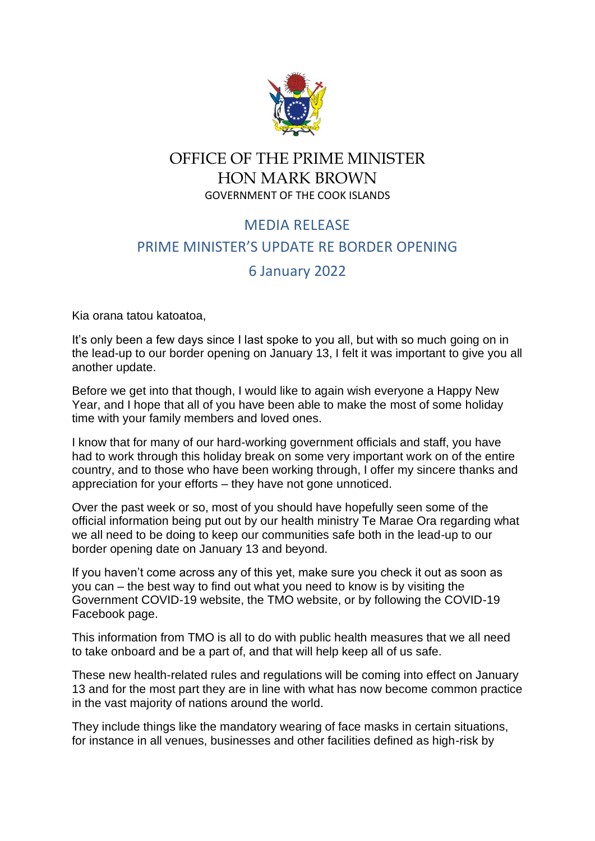

## OFFICE OF THE PRIME MINISTER HON MARK BROWN GOVERNMENT OF THE COOK ISLANDS

## MEDIA RELEASE PRIME MINISTER'S UPDATE RE BORDER OPENING

## 6 January 2022

Kia orana tatou katoatoa,

It's only been a few days since I last spoke to you all, but with so much going on in the lead-up to our border opening on January 13, I felt it was important to give you all another update.

Before we get into that though, I would like to again wish everyone a Happy New Year, and I hope that all of you have been able to make the most of some holiday time with your family members and loved ones.

I know that for many of our hard-working government officials and staff, you have had to work through this holiday break on some very important work on of the entire country, and to those who have been working through, I offer my sincere thanks and appreciation for your efforts – they have not gone unnoticed.

Over the past week or so, most of you should have hopefully seen some of the official information being put out by our health ministry Te Marae Ora regarding what we all need to be doing to keep our communities safe both in the lead-up to our border opening date on January 13 and beyond.

If you haven't come across any of this yet, make sure you check it out as soon as you can – the best way to find out what you need to know is by visiting the Government COVID-19 website, the TMO website, or by following the COVID-19 Facebook page.

This information from TMO is all to do with public health measures that we all need to take onboard and be a part of, and that will help keep all of us safe.

These new health-related rules and regulations will be coming into effect on January 13 and for the most part they are in line with what has now become common practice in the vast majority of nations around the world.

They include things like the mandatory wearing of face masks in certain situations, for instance in all venues, businesses and other facilities defined as high-risk by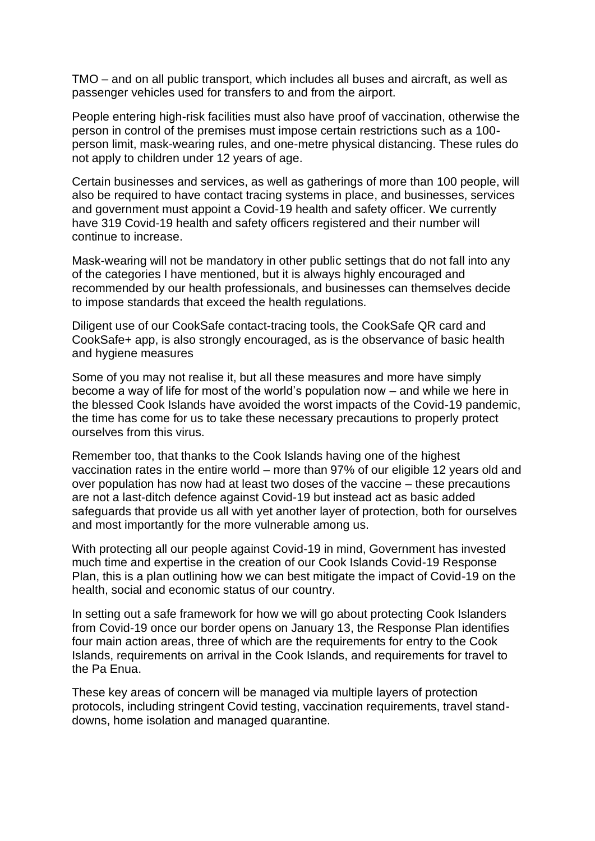TMO – and on all public transport, which includes all buses and aircraft, as well as passenger vehicles used for transfers to and from the airport.

People entering high-risk facilities must also have proof of vaccination, otherwise the person in control of the premises must impose certain restrictions such as a 100 person limit, mask-wearing rules, and one-metre physical distancing. These rules do not apply to children under 12 years of age.

Certain businesses and services, as well as gatherings of more than 100 people, will also be required to have contact tracing systems in place, and businesses, services and government must appoint a Covid-19 health and safety officer. We currently have 319 Covid-19 health and safety officers registered and their number will continue to increase.

Mask-wearing will not be mandatory in other public settings that do not fall into any of the categories I have mentioned, but it is always highly encouraged and recommended by our health professionals, and businesses can themselves decide to impose standards that exceed the health regulations.

Diligent use of our CookSafe contact-tracing tools, the CookSafe QR card and CookSafe+ app, is also strongly encouraged, as is the observance of basic health and hygiene measures

Some of you may not realise it, but all these measures and more have simply become a way of life for most of the world's population now – and while we here in the blessed Cook Islands have avoided the worst impacts of the Covid-19 pandemic, the time has come for us to take these necessary precautions to properly protect ourselves from this virus.

Remember too, that thanks to the Cook Islands having one of the highest vaccination rates in the entire world – more than 97% of our eligible 12 years old and over population has now had at least two doses of the vaccine – these precautions are not a last-ditch defence against Covid-19 but instead act as basic added safeguards that provide us all with yet another layer of protection, both for ourselves and most importantly for the more vulnerable among us.

With protecting all our people against Covid-19 in mind, Government has invested much time and expertise in the creation of our Cook Islands Covid-19 Response Plan, this is a plan outlining how we can best mitigate the impact of Covid-19 on the health, social and economic status of our country.

In setting out a safe framework for how we will go about protecting Cook Islanders from Covid-19 once our border opens on January 13, the Response Plan identifies four main action areas, three of which are the requirements for entry to the Cook Islands, requirements on arrival in the Cook Islands, and requirements for travel to the Pa Enua.

These key areas of concern will be managed via multiple layers of protection protocols, including stringent Covid testing, vaccination requirements, travel standdowns, home isolation and managed quarantine.